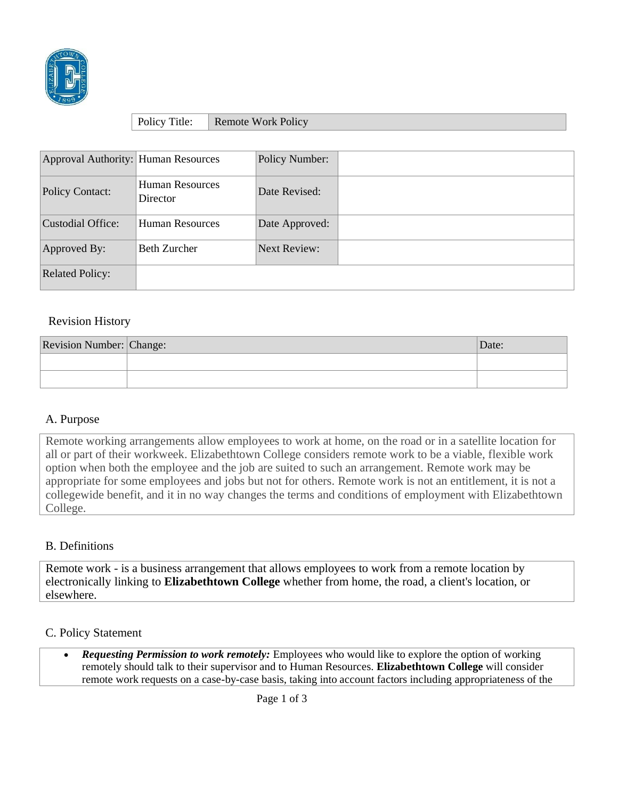

| Policy Title: | <b>Remote Work Policy</b> |
|---------------|---------------------------|

| Approval Authority: Human Resources |                                    | Policy Number:      |  |
|-------------------------------------|------------------------------------|---------------------|--|
| Policy Contact:                     | <b>Human Resources</b><br>Director | Date Revised:       |  |
| Custodial Office:                   | Human Resources                    | Date Approved:      |  |
| Approved By:                        | <b>Beth Zurcher</b>                | <b>Next Review:</b> |  |
| <b>Related Policy:</b>              |                                    |                     |  |

# Revision History

| Revision Number: Change: | )ate. |
|--------------------------|-------|
|                          |       |
|                          |       |

## A. Purpose

Remote working arrangements allow employees to work at home, on the road or in a satellite location for all or part of their workweek. Elizabethtown College considers remote work to be a viable, flexible work option when both the employee and the job are suited to such an arrangement. Remote work may be appropriate for some employees and jobs but not for others. Remote work is not an entitlement, it is not a collegewide benefit, and it in no way changes the terms and conditions of employment with Elizabethtown College.

#### B. Definitions

Remote work - is a business arrangement that allows employees to work from a remote location by electronically linking to **Elizabethtown College** whether from home, the road, a client's location, or elsewhere.

#### C. Policy Statement

• *Requesting Permission to work remotely:* Employees who would like to explore the option of working remotely should talk to their supervisor and to Human Resources. **Elizabethtown College** will consider remote work requests on a case-by-case basis, taking into account factors including appropriateness of the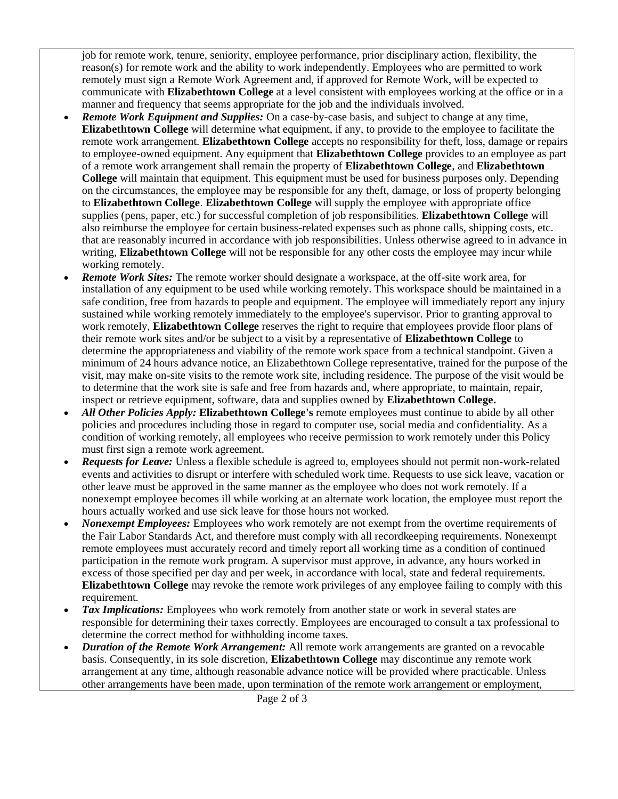job for remote work, tenure, seniority, employee performance, prior disciplinary action, flexibility, the reason(s) for remote work and the ability to work independently. Employees who are permitted to work remotely must sign a Remote Work Agreement and, if approved for Remote Work, will be expected to communicate with **Elizabethtown College** at a level consistent with employees working at the office or in a manner and frequency that seems appropriate for the job and the individuals involved.

- *Remote Work Equipment and Supplies:* On a case-by-case basis, and subject to change at any time, **Elizabethtown College** will determine what equipment, if any, to provide to the employee to facilitate the remote work arrangement. **Elizabethtown College** accepts no responsibility for theft, loss, damage or repairs to employee-owned equipment. Any equipment that **Elizabethtown College** provides to an employee as part of a remote work arrangement shall remain the property of **Elizabethtown College**, and **Elizabethtown College** will maintain that equipment. This equipment must be used for business purposes only. Depending on the circumstances, the employee may be responsible for any theft, damage, or loss of property belonging to **Elizabethtown College**. **Elizabethtown College** will supply the employee with appropriate office supplies (pens, paper, etc.) for successful completion of job responsibilities. **Elizabethtown College** will also reimburse the employee for certain business-related expenses such as phone calls, shipping costs, etc. that are reasonably incurred in accordance with job responsibilities. Unless otherwise agreed to in advance in writing, **Elizabethtown College** will not be responsible for any other costs the employee may incur while working remotely.
- *Remote Work Sites:* The remote worker should designate a workspace, at the off-site work area, for installation of any equipment to be used while working remotely. This workspace should be maintained in a safe condition, free from hazards to people and equipment. The employee will immediately report any injury sustained while working remotely immediately to the employee's supervisor. Prior to granting approval to work remotely, **Elizabethtown College** reserves the right to require that employees provide floor plans of their remote work sites and/or be subject to a visit by a representative of **Elizabethtown College** to determine the appropriateness and viability of the remote work space from a technical standpoint. Given a minimum of 24 hours advance notice, an Elizabethtown College representative, trained for the purpose of the visit, may make on-site visits to the remote work site, including residence. The purpose of the visit would be to determine that the work site is safe and free from hazards and, where appropriate, to maintain, repair, inspect or retrieve equipment, software, data and supplies owned by **Elizabethtown College.**
- *All Other Policies Apply:* **Elizabethtown College's** remote employees must continue to abide by all other policies and procedures including those in regard to computer use, social media and confidentiality. As a condition of working remotely, all employees who receive permission to work remotely under this Policy must first sign a remote work agreement.
- *Requests for Leave:* Unless a flexible schedule is agreed to, employees should not permit non-work-related events and activities to disrupt or interfere with scheduled work time. Requests to use sick leave, vacation or other leave must be approved in the same manner as the employee who does not work remotely. If a nonexempt employee becomes ill while working at an alternate work location, the employee must report the hours actually worked and use sick leave for those hours not worked.
- *Nonexempt Employees:* Employees who work remotely are not exempt from the overtime requirements of the Fair Labor Standards Act, and therefore must comply with all recordkeeping requirements. Nonexempt remote employees must accurately record and timely report all working time as a condition of continued participation in the remote work program. A supervisor must approve, in advance, any hours worked in excess of those specified per day and per week, in accordance with local, state and federal requirements. **Elizabethtown College** may revoke the remote work privileges of any employee failing to comply with this requirement.
- *Tax Implications:* Employees who work remotely from another state or work in several states are responsible for determining their taxes correctly. Employees are encouraged to consult a tax professional to determine the correct method for withholding income taxes.
- *Duration of the Remote Work Arrangement:* All remote work arrangements are granted on a revocable basis. Consequently, in its sole discretion, **Elizabethtown College** may discontinue any remote work arrangement at any time, although reasonable advance notice will be provided where practicable. Unless other arrangements have been made, upon termination of the remote work arrangement or employment,